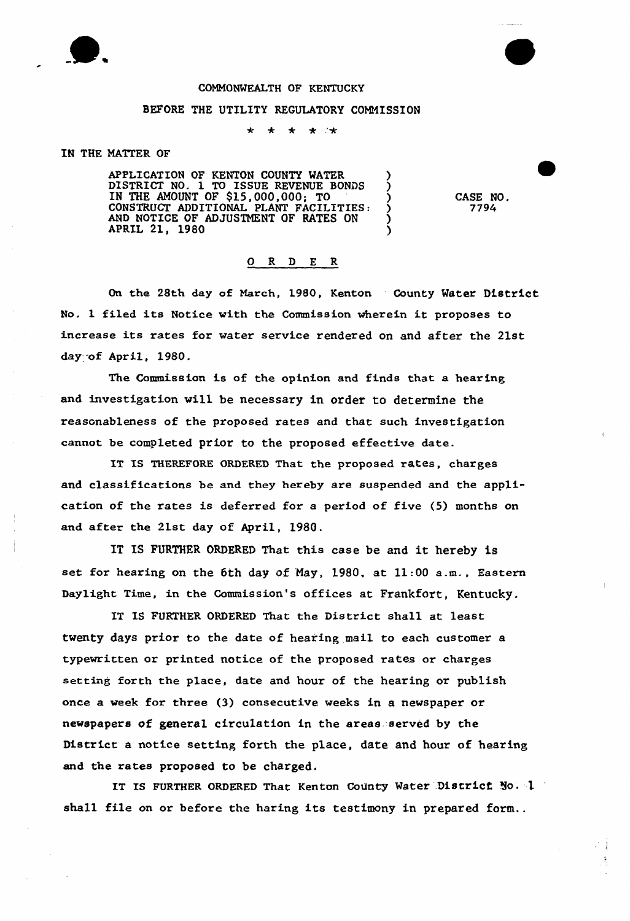

## COMMONWEALTH OF KENTUCKY

## BEFORE THE UTILITY REGULATORY COMMISSION

 $\star$  $\bigstar$ - skr 1 skr

IN THE MATTER OF

APPLICATION OF KENTON COUNTY WATER (1997) DISTRICT NO. 1 TO ISSUE REVENUE BONDS ) IN THE AMOUNT OF  $$15,000,000;$  TO  $\qquad\qquad\qquad\qquad$ CONSTRUCT ADDITIONAL PLANT FACILITIES: ) AND NOTICE OF ADJUSTMENT OF RATES ON  $\bigcup_{n=0}^{\infty}$ APRIL 21, 1980 (1989)

CASE NO. 7794

## 0 R <sup>D</sup> E R

On the 28th day of March, 1980, Kenton County Water District No. <sup>1</sup> filed its Notice with the Commission wherein it proposes to increase its rates for water service rendered on and after the 21st day of April, 1980.

The Commission is of the opinion and finds that a hearing and investigation will be necessary in order to determine the reasonableness of the proposed rates and that such investigation cannot be completed prior to the proposed effective date.

IT IS THEREFORE ORDERED That the proposed rates, charges and classifications be and they hereby are suspended and the application of the rates is deferred for a period of five (5) months on and after the 21st day of April, 1980.

IT IS FURTHER ORDERED That this case be and it hereby is set for hearing on the 6th day of May, 1980, at 11:00 a.m., Eastern Daylight Time, in the Commission's offices at Frankfort, Kentucky.

IT IS FURTHER ORDERED That the District shall at least twenty days prior to the date of hearing mail to each customer a typewritten or printed notice of the proposed rates oz charges setting forth the place, date and hour of the hearing or publish once a week for three (3) consecutive weeks in a newspaper or newspapers of general circulation in the areas. served by the District a notice setting forth the place, date and hour of hearing and the rates proposed to be charged.

IT IS FURTHER ORDERED That Kenton County Water District No. 1 shall file on or before the haring its testimony in prepared form..